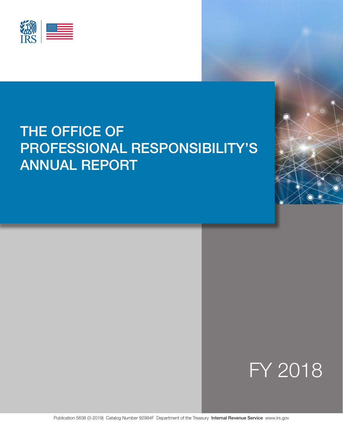

# THE OFFICE OF PROFESSIONAL RESPONSIBILITY'S ANNUAL REPORT



Publication 5638 (3-2019) Catalog Number 92984F Department of the Treasury Internal Revenue Service [www.irs.gov](https://www.irs.gov)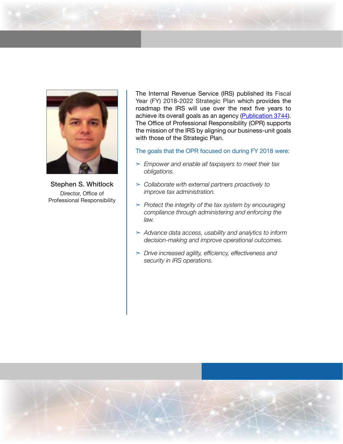

Stephen S. Whitlock Director, Office of Professional Responsibility

The Internal Revenue Service (IRS) published its Fiscal Year (FY) 2018-2022 Strategic Plan which provides the roadmap the IRS will use over the next five years to achieve its overall goals as an agency ([Publication 3744\)](https://www.irs.gov/pub/irs-pdf/p3744.pdf). The Office of Professional Responsibility (OPR) supports the mission of the IRS by aligning our business-unit goals with those of the Strategic Plan.

#### The goals that the OPR focused on during FY 2018 were:

- ➣ *Empower and enable all taxpayers to meet their tax obligations.*
- ➣ *Collaborate with external partners proactively to improve tax administration.*
- ➣ *Protect the integrity of the tax system by encouraging compliance through administering and enforcing the law.*
- ➣ *Advance data access, usability and analytics to inform decision-making and improve operational outcomes.*
- ➣ *Drive increased agility, efficiency, effectiveness and security in IRS operations.*

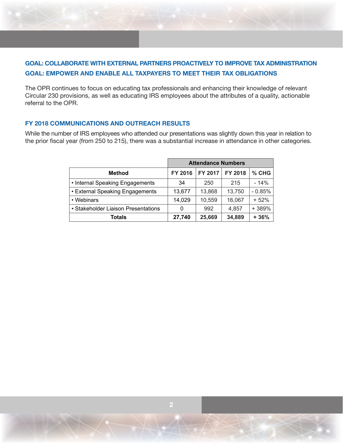# **GOAL: COLLABORATE WITH EXTERNAL PARTNERS PROACTIVELY TO IMPROVE TAX ADMINISTRATION GOAL: EMPOWER AND ENABLE ALL TAXPAYERS TO MEET THEIR TAX OBLIGATIONS**

The OPR continues to focus on educating tax professionals and enhancing their knowledge of relevant Circular 230 provisions, as well as educating IRS employees about the attributes of a quality, actionable referral to the OPR.

## **FY 2018 COMMUNICATIONS AND OUTREACH RESULTS**

While the number of IRS employees who attended our presentations was slightly down this year in relation to the prior fiscal year (from 250 to 215), there was a substantial increase in attendance in other categories.

|                                     | <b>Attendance Numbers</b> |                |                |          |  |
|-------------------------------------|---------------------------|----------------|----------------|----------|--|
| <b>Method</b>                       | FY 2016                   | <b>FY 2017</b> | <b>FY 2018</b> | $%$ CHG  |  |
| • Internal Speaking Engagements     | 34                        | 250            | 215            | $-14%$   |  |
| • External Speaking Engagements     | 13,677                    | 13,868         | 13,750         | $-0.85%$ |  |
| • Webinars                          | 14,029                    | 10,559         | 16,067         | $+52%$   |  |
| • Stakeholder Liaison Presentations | 0                         | 992            | 4.857          | +389%    |  |
| Totals                              | 27,740                    | 25,669         | 34,889         | $+36%$   |  |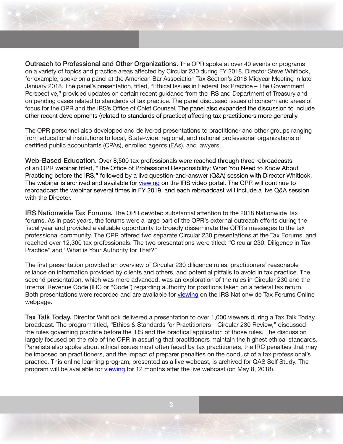Outreach to Professional and Other Organizations. The OPR spoke at over 40 events or programs on a variety of topics and practice areas affected by Circular 230 during FY 2018. Director Steve Whitlock, for example, spoke on a panel at the American Bar Association Tax Section's 2018 Midyear Meeting in late January 2018. The panel's presentation, titled, "Ethical Issues in Federal Tax Practice – The Government Perspective," provided updates on certain recent guidance from the IRS and Department of Treasury and on pending cases related to standards of tax practice. The panel discussed issues of concern and areas of focus for the OPR and the IRS's Office of Chief Counsel. The panel also expanded the discussion to include other recent developments (related to standards of practice) affecting tax practitioners more generally.

The OPR personnel also developed and delivered presentations to practitioner and other groups ranging from educational institutions to local, State-wide, regional, and national professional organizations of certified public accountants (CPAs), enrolled agents (EAs), and lawyers.

Web-Based Education. Over 8,500 tax professionals were reached through three rebroadcasts of an OPR webinar titled, "The Office of Professional Responsibility: What You Need to Know About Practicing before the IRS," followed by a live question-and-answer (Q&A) session with Director Whitlock. The webinar is archived and available for [viewing](https://www.irsvideos.gov/WhatYouNeedToKnowAboutPracticingBeforeTheIRS/) on the IRS video portal. The OPR will continue to rebroadcast the webinar several times in FY 2019, and each rebroadcast will include a live Q&A session with the Director.

IRS Nationwide Tax Forums. The OPR devoted substantial attention to the 2018 Nationwide Tax forums. As in past years, the forums were a large part of the OPR's external outreach efforts during the fiscal year and provided a valuable opportunity to broadly disseminate the OPR's messages to the tax professional community. The OPR offered two separate Circular 230 presentations at the Tax Forums, and reached over 12,300 tax professionals. The two presentations were titled: "Circular 230: Diligence in Tax Practice" and "What is Your Authority for That?"

The first presentation provided an overview of Circular 230 diligence rules, practitioners' reasonable reliance on information provided by clients and others, and potential pitfalls to avoid in tax practice. The second presentation, which was more advanced, was an exploration of the rules in Circular 230 and the Internal Revenue Code (IRC or "Code") regarding authority for positions taken on a federal tax return. Both presentations were recorded and are available for [viewing](https://www.irstaxforumsonline.com/) on the IRS Nationwide Tax Forums Online webpage.

Tax Talk Today. Director Whitlock delivered a presentation to over 1,000 viewers during a Tax Talk Today broadcast. The program titled, "Ethics & Standards for Practitioners – Circular 230 Review," discussed the rules governing practice before the IRS and the practical application of those rules. The discussion largely focused on the role of the OPR in assuring that practitioners maintain the highest ethical standards. Panelists also spoke about ethical issues most often faced by tax practitioners, the IRC penalties that may be imposed on practitioners, and the impact of preparer penalties on the conduct of a tax professional's practice. This online learning program, presented as a live webcast, is archived for QAS Self Study. The program will be available for [viewing](https://www.taxtalktoday.com/programs/050818.cfm) for 12 months after the live webcast (on May 8, 2018).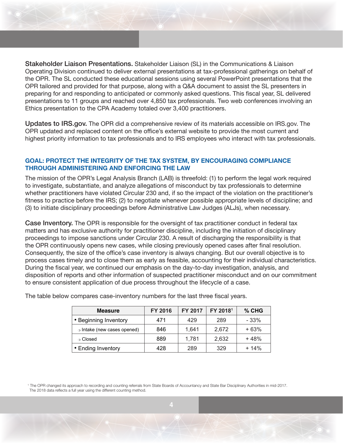Stakeholder Liaison Presentations. Stakeholder Liaison (SL) in the Communications & Liaison Operating Division continued to deliver external presentations at tax-professional gatherings on behalf of the OPR. The SL conducted these educational sessions using several PowerPoint presentations that the OPR tailored and provided for that purpose, along with a Q&A document to assist the SL presenters in preparing for and responding to anticipated or commonly asked questions. This fiscal year, SL delivered presentations to 11 groups and reached over 4,850 tax professionals. Two web conferences involving an Ethics presentation to the CPA Academy totaled over 3,400 practitioners.

Updates to IRS.gov. The OPR did a comprehensive review of its materials accessible on IRS.gov. The OPR updated and replaced content on the office's external website to provide the most current and highest priority information to tax professionals and to IRS employees who interact with tax professionals.

## **GOAL: PROTECT THE INTEGRITY OF THE TAX SYSTEM, BY ENCOURAGING COMPLIANCE THROUGH ADMINISTERING AND ENFORCING THE LAW**

The mission of the OPR's Legal Analysis Branch (LAB) is threefold: (1) to perform the legal work required to investigate, substantiate, and analyze allegations of misconduct by tax professionals to determine whether practitioners have violated Circular 230 and, if so the impact of the violation on the practitioner's fitness to practice before the IRS; (2) to negotiate whenever possible appropriate levels of discipline; and (3) to initiate disciplinary proceedings before Administrative Law Judges (ALJs), when necessary.

Case Inventory. The OPR is responsible for the oversight of tax practitioner conduct in federal tax matters and has exclusive authority for practitioner discipline, including the initiation of disciplinary proceedings to impose sanctions under Circular 230. A result of discharging the responsibility is that the OPR continuously opens new cases, while closing previously opened cases after final resolution. Consequently, the size of the office's case inventory is always changing. But our overall objective is to process cases timely and to close them as early as feasible, accounting for their individual characteristics. During the fiscal year, we continued our emphasis on the day-to-day investigation, analysis, and disposition of reports and other information of suspected practitioner misconduct and on our commitment to ensure consistent application of due process throughout the lifecycle of a case.

| <b>Measure</b>              | FY 2016 | FY 2017 | FY 2018 <sup>1</sup> | $%$ CHG |
|-----------------------------|---------|---------|----------------------|---------|
| • Beginning Inventory       | 471     | 429     | 289                  | - 33%   |
| o Intake (new cases opened) | 846     | 1.641   | 2,672                | $+63%$  |
| ⊙ Closed                    | 889     | 1.781   | 2,632                | $+48%$  |
| • Ending Inventory          | 428     | 289     | 329                  | $+14%$  |

The table below compares case-inventory numbers for the last three fiscal years.

<sup>1</sup> The OPR changed its approach to recording and counting referrals from State Boards of Accountancy and State Bar Disciplinary Authorities in mid-2017. The 2018 data reflects a full year using the different counting method.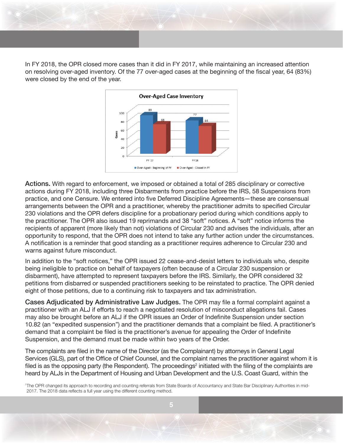In FY 2018, the OPR closed more cases than it did in FY 2017, while maintaining an increased attention on resolving over-aged inventory. Of the 77 over-aged cases at the beginning of the fiscal year, 64 (83%) were closed by the end of the year.



Actions. With regard to enforcement, we imposed or obtained a total of 285 disciplinary or corrective actions during FY 2018, including three Disbarments from practice before the IRS, 58 Suspensions from practice, and one Censure. We entered into five Deferred Discipline Agreements—these are consensual arrangements between the OPR and a practitioner, whereby the practitioner admits to specified Circular 230 violations and the OPR defers discipline for a probationary period during which conditions apply to the practitioner. The OPR also issued 19 reprimands and 38 "soft" notices. A "soft" notice informs the recipients of apparent (more likely than not) violations of Circular 230 and advises the individuals, after an opportunity to respond, that the OPR does not intend to take any further action under the circumstances. A notification is a reminder that good standing as a practitioner requires adherence to Circular 230 and warns against future misconduct.

In addition to the "soft notices," the OPR issued 22 cease-and-desist letters to individuals who, despite being ineligible to practice on behalf of taxpayers (often because of a Circular 230 suspension or disbarment), have attempted to represent taxpayers before the IRS. Similarly, the OPR considered 32 petitions from disbarred or suspended practitioners seeking to be reinstated to practice. The OPR denied eight of those petitions, due to a continuing risk to taxpayers and tax administration.

Cases Adjudicated by Administrative Law Judges. The OPR may file a formal complaint against a practitioner with an ALJ if efforts to reach a negotiated resolution of misconduct allegations fail. Cases may also be brought before an ALJ if the OPR issues an Order of Indefinite Suspension under section 10.82 (an "expedited suspension") and the practitioner demands that a complaint be filed. A practitioner's demand that a complaint be filed is the practitioner's avenue for appealing the Order of Indefinite Suspension, and the demand must be made within two years of the Order.

The complaints are filed in the name of the Director (as the Complainant) by attorneys in General Legal Services (GLS), part of the Office of Chief Counsel, and the complaint names the practitioner against whom it is filed is as the opposing party (the Respondent). The proceedings<sup>2</sup> initiated with the filing of the complaints are heard by ALJs in the Department of Housing and Urban Development and the U.S. Coast Guard, within the

<sup>1</sup>The OPR changed its approach to recording and counting referrals from State Boards of Accountancy and State Bar Disciplinary Authorities in mid-2017. The 2018 data reflects a full year using the different counting method.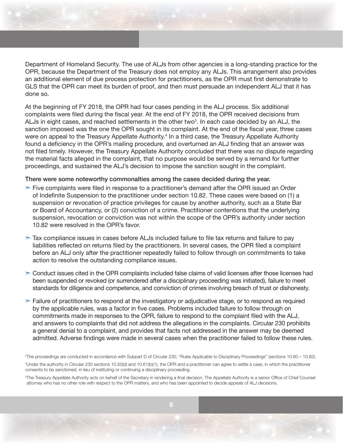Department of Homeland Security. The use of ALJs from other agencies is a long-standing practice for the OPR, because the Department of the Treasury does not employ any ALJs. This arrangement also provides an additional element of due process protection for practitioners, as the OPR must first demonstrate to GLS that the OPR can meet its burden of proof, and then must persuade an independent ALJ that it has done so.

At the beginning of FY 2018, the OPR had four cases pending in the ALJ process. Six additional complaints were filed during the fiscal year. At the end of FY 2018, the OPR received decisions from ALJs in eight cases, and reached settlements in the other two $^3$ . In each case decided by an ALJ, the sanction imposed was the one the OPR sought in its complaint. At the end of the fiscal year, three cases were on appeal to the Treasury Appellate Authority.<sup>4</sup> In a third case, the Treasury Appellate Authority found a deficiency in the OPR's mailing procedure, and overturned an ALJ finding that an answer was not filed timely. However, the Treasury Appellate Authority concluded that there was no dispute regarding the material facts alleged in the complaint, that no purpose would be served by a remand for further proceedings, and sustained the ALJ's decision to impose the sanction sought in the complaint.

#### There were some noteworthy commonalties among the cases decided during the year.

- $\geq$  Five complaints were filed in response to a practitioner's demand after the OPR issued an Order of Indefinite Suspension to the practitioner under section 10.82. These cases were based on (1) a suspension or revocation of practice privileges for cause by another authority, such as a State Bar or Board of Accountancy, or (2) conviction of a crime. Practitioner contentions that the underlying suspension, revocation or conviction was not within the scope of the OPR's authority under section 10.82 were resolved in the OPR's favor.
- $\geq$  Tax compliance issues in cases before ALJs included failure to file tax returns and failure to pay liabilities reflected on returns filed by the practitioners. In several cases, the OPR filed a complaint before an ALJ only after the practitioner repeatedly failed to follow through on commitments to take action to resolve the outstanding compliance issues.
- $\geq$  Conduct issues cited in the OPR complaints included false claims of valid licenses after those licenses had been suspended or revoked (or surrendered after a disciplinary proceeding was initiated), failure to meet standards for diligence and competence, and conviction of crimes involving breach of trust or dishonesty.
- $\geq$  Failure of practitioners to respond at the investigatory or adjudicative stage, or to respond as required by the applicable rules, was a factor in five cases. Problems included failure to follow through on commitments made in responses to the OPR, failure to respond to the complaint filed with the ALJ, and answers to complaints that did not address the allegations in the complaints. Circular 230 prohibits a general denial to a complaint, and provides that facts not addressed in the answer may be deemed admitted. Adverse findings were made in several cases when the practitioner failed to follow these rules.

2 The proceedings are conducted in accordance with Subpart D of Circular 230, "Rules Applicable to Disciplinary Proceedings" (sections 10.60 – 10.82).

3 Under the authority in Circular 230 sections 10.50(d) and 10.61(b)(1), the OPR and a practitioner can agree to settle a case, in which the practitioner consents to be sanctioned, in lieu of instituting or continuing a disciplinary proceeding.

<sup>4</sup>The Treasury Appellate Authority acts on behalf of the Secretary in rendering a final decision. The Appellate Authority is a senior Office of Chief Counsel attorney who has no other role with respect to the OPR matters, and who has been appointed to decide appeals of ALJ decisions.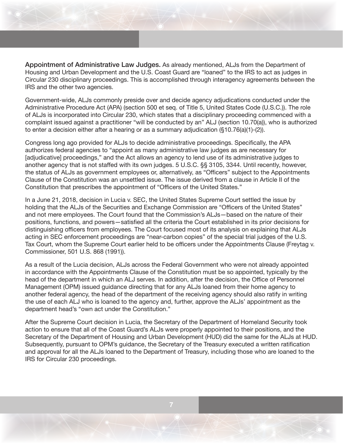Appointment of Administrative Law Judges. As already mentioned, ALJs from the Department of Housing and Urban Development and the U.S. Coast Guard are "loaned" to the IRS to act as judges in Circular 230 disciplinary proceedings. This is accomplished through interagency agreements between the IRS and the other two agencies.

Government-wide, ALJs commonly preside over and decide agency adjudications conducted under the Administrative Procedure Act (APA) (section 500 et seq. of Title 5, United States Code (U.S.C.)). The role of ALJs is incorporated into Circular 230, which states that a disciplinary proceeding commenced with a complaint issued against a practitioner "will be conducted by an" ALJ (section 10.70(a)), who is authorized to enter a decision either after a hearing or as a summary adjudication (§10.76(a)(1)-(2)).

Congress long ago provided for ALJs to decide administrative proceedings. Specifically, the APA authorizes federal agencies to "appoint as many administrative law judges as are necessary for [adjudicative] proceedings," and the Act allows an agency to lend use of its administrative judges to another agency that is not staffed with its own judges. 5 U.S.C. §§ 3105, 3344. Until recently, however, the status of ALJs as government employees or, alternatively, as "Officers" subject to the Appointments Clause of the Constitution was an unsettled issue. The issue derived from a clause in Article II of the Constitution that prescribes the appointment of "Officers of the United States."

In a June 21, 2018, decision in Lucia v. SEC, the United States Supreme Court settled the issue by holding that the ALJs of the Securities and Exchange Commission are "Officers of the United States" and not mere employees. The Court found that the Commission's ALJs—based on the nature of their positions, functions, and powers—satisfied all the criteria the Court established in its prior decisions for distinguishing officers from employees. The Court focused most of its analysis on explaining that ALJs acting in SEC enforcement proceedings are "near-carbon copies" of the special trial judges of the U.S. Tax Court, whom the Supreme Court earlier held to be officers under the Appointments Clause (Freytag v. Commissioner, 501 U.S. 868 (1991)).

As a result of the Lucia decision, ALJs across the Federal Government who were not already appointed in accordance with the Appointments Clause of the Constitution must be so appointed, typically by the head of the department in which an ALJ serves. In addition, after the decision, the Office of Personnel Management (OPM) issued guidance directing that for any ALJs loaned from their home agency to another federal agency, the head of the department of the receiving agency should also ratify in writing the use of each ALJ who is loaned to the agency and, further, approve the ALJs' appointment as the department head's "own act under the Constitution."

After the Supreme Court decision in Lucia, the Secretary of the Department of Homeland Security took action to ensure that all of the Coast Guard's ALJs were properly appointed to their positions, and the Secretary of the Department of Housing and Urban Development (HUD) did the same for the ALJs at HUD. Subsequently, pursuant to OPM's guidance, the Secretary of the Treasury executed a written ratification and approval for all the ALJs loaned to the Department of Treasury, including those who are loaned to the IRS for Circular 230 proceedings.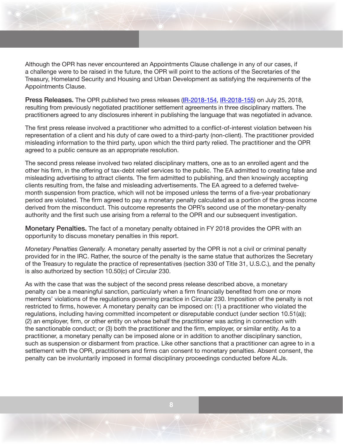Although the OPR has never encountered an Appointments Clause challenge in any of our cases, if a challenge were to be raised in the future, the OPR will point to the actions of the Secretaries of the Treasury, Homeland Security and Housing and Urban Development as satisfying the requirements of the Appointments Clause.

Press Releases. The OPR published two press releases [\(IR-2018-154](https://www.irs.gov/newsroom/irs-censures-tax-practitioner-for-willfully-mishandling-conflicts-of-interest), [IR-2018-155](https://www.irs.gov/newsroom/irs-imposes-monetary-penalty-and-probationary-period-on-tax-practitioner-and-his-debt-relief-firm-for-engaging-in-false-and-misleading-advertising)) on July 25, 2018, resulting from previously negotiated practitioner settlement agreements in three disciplinary matters. The practitioners agreed to any disclosures inherent in publishing the language that was negotiated in advance.

The first press release involved a practitioner who admitted to a conflict-of-interest violation between his representation of a client and his duty of care owed to a third-party (non-client). The practitioner provided misleading information to the third party, upon which the third party relied. The practitioner and the OPR agreed to a public censure as an appropriate resolution.

The second press release involved two related disciplinary matters, one as to an enrolled agent and the other his firm, in the offering of tax-debt relief services to the public. The EA admitted to creating false and misleading advertising to attract clients. The firm admitted to publishing, and then knowingly accepting clients resulting from, the false and misleading advertisements. The EA agreed to a deferred twelvemonth suspension from practice, which will not be imposed unless the terms of a five-year probationary period are violated. The firm agreed to pay a monetary penalty calculated as a portion of the gross income derived from the misconduct. This outcome represents the OPR's second use of the monetary-penalty authority and the first such use arising from a referral to the OPR and our subsequent investigation.

Monetary Penalties. The fact of a monetary penalty obtained in FY 2018 provides the OPR with an opportunity to discuss monetary penalties in this report.

*Monetary Penalties Generally.* A monetary penalty asserted by the OPR is not a civil or criminal penalty provided for in the IRC. Rather, the source of the penalty is the same statue that authorizes the Secretary of the Treasury to regulate the practice of representatives (section 330 of Title 31, U.S.C.), and the penalty is also authorized by section 10.50(c) of Circular 230.

As with the case that was the subject of the second press release described above, a monetary penalty can be a meaningful sanction, particularly when a firm financially benefited from one or more members' violations of the regulations governing practice in Circular 230. Imposition of the penalty is not restricted to firms, however. A monetary penalty can be imposed on: (1) a practitioner who violated the regulations, including having committed incompetent or disreputable conduct (under section 10.51(a)); (2) an employer, firm, or other entity on whose behalf the practitioner was acting in connection with the sanctionable conduct; or (3) both the practitioner and the firm, employer, or similar entity. As to a practitioner, a monetary penalty can be imposed alone or in addition to another disciplinary sanction, such as suspension or disbarment from practice. Like other sanctions that a practitioner can agree to in a settlement with the OPR, practitioners and firms can consent to monetary penalties. Absent consent, the penalty can be involuntarily imposed in formal disciplinary proceedings conducted before ALJs.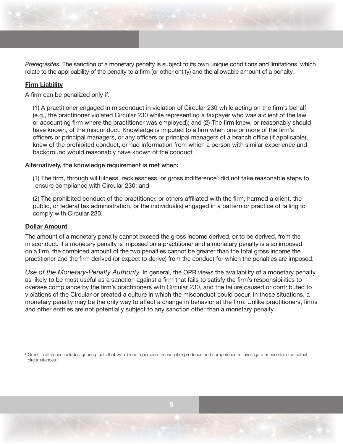*Prerequisites.* The sanction of a monetary penalty is subject to its own unique conditions and limitations, which relate to the applicability of the penalty to a firm (or other entity) and the allowable amount of a penalty.

# **Firm Liability**

A firm can be penalized only if:

(1) A practitioner engaged in misconduct in violation of Circular 230 while acting on the firm's behalf (e.g., the practitioner violated Circular 230 while representing a taxpayer who was a client of the law or accounting firm where the practitioner was employed); and (2) The firm knew, or reasonably should have known, of the misconduct. Knowledge is imputed to a firm when one or more of the firm's officers or principal managers, or any officers or principal managers of a branch office (if applicable), knew of the prohibited conduct, or had information from which a person with similar experience and background would reasonably have known of the conduct.

#### Alternatively, the knowledge requirement is met when:

(1) The firm, through willfulness, recklessness, or gross indifference<sup>5</sup> did not take reasonable steps to ensure compliance with Circular 230; and

(2) The prohibited conduct of the practitioner, or others affiliated with the firm, harmed a client, the public, or federal tax administration, or the individual(s) engaged in a pattern or practice of failing to comply with Circular 230.

#### **Dollar Amount**

The amount of a monetary penalty cannot exceed the gross income derived, or to be derived, from the misconduct. If a monetary penalty is imposed on a practitioner and a monetary penalty is also imposed on a firm, the combined amount of the two penalties cannot be greater than the total gross income the practitioner and the firm derived (or expect to derive) from the conduct for which the penalties are imposed.

*Use of the Monetary-Penalty Authority.* In general, the OPR views the availability of a monetary penalty as likely to be most useful as a sanction against a firm that fails to satisfy the firm's responsibilities to oversee compliance by the firm's practitioners with Circular 230, and the failure caused or contributed to violations of the Circular or created a culture in which the misconduct could occur. In those situations, a monetary penalty may be the only way to affect a change in behavior at the firm. Unlike practitioners, firms and other entities are not potentially subject to any sanction other than a monetary penalty.

5 Gross indifference includes ignoring facts that would lead a person of reasonable prudence and competence to investigate or ascertain the actual circumstances.

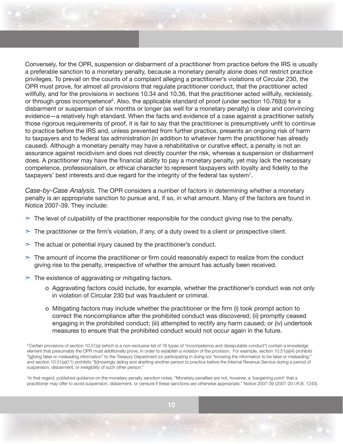Conversely, for the OPR, suspension or disbarment of a practitioner from practice before the IRS is usually a preferable sanction to a monetary penalty, because a monetary penalty alone does not restrict practice privileges. To prevail on the counts of a complaint alleging a practitioner's violations of Circular 230, the OPR must prove, for almost all provisions that regulate practitioner conduct, that the practitioner acted willfully, and for the provisions in sections 10.34 and 10.36, that the practitioner acted willfully, recklessly, or through gross incompetence $^{\rm 6}$ . Also, the applicable standard of proof (under section 10.76(b)) for a disbarment or suspension of six months or longer (as well for a monetary penalty) is clear and convincing evidence—a relatively high standard. When the facts and evidence of a case against a practitioner satisfy those rigorous requirements of proof, it is fair to say that the practitioner is presumptively unfit to continue to practice before the IRS and, unless prevented from further practice, presents an ongoing risk of harm to taxpayers and to federal tax administration (in addition to whatever harm the practitioner has already caused). Although a monetary penalty may have a rehabilitative or curative effect, a penalty is not an assurance against recidivism and does not directly counter the risk, whereas a suspension or disbarment does. A practitioner may have the financial ability to pay a monetary penalty, yet may lack the necessary competence, professionalism, or ethical character to represent taxpayers with loyalty and fidelity to the taxpayers' best interests and due regard for the integrity of the federal tax system<sup>7</sup>.

*Case-by-Case Analysis.* The OPR considers a number of factors in determining whether a monetary penalty is an appropriate sanction to pursue and, if so, in what amount. Many of the factors are found in Notice 2007-39. They include:

- $\geq$  The level of culpability of the practitioner responsible for the conduct giving rise to the penalty.
- $\geq$  The practitioner or the firm's violation, if any, of a duty owed to a client or prospective client.
- $\geq$  The actual or potential injury caused by the practitioner's conduct.
- $\geq$  The amount of income the practitioner or firm could reasonably expect to realize from the conduct giving rise to the penalty, irrespective of whether the amount has actually been received.
- $\geq$  The existence of aggravating or mitigating factors.
	- o Aggravating factors could include, for example, whether the practitioner's conduct was not only in violation of Circular 230 but was fraudulent or criminal.
	- o Mitigating factors may include whether the practitioner or the firm (i) took prompt action to correct the noncompliance after the prohibited conduct was discovered; (ii) promptly ceased engaging in the prohibited conduct; (iii) attempted to rectify any harm caused; or (iv) undertook measures to ensure that the prohibited conduct would not occur again in the future.

7 In that regard, published guidance on the monetary-penalty sanction notes, "Monetary penalties are not, however, a 'bargaining point' that a practitioner may offer to avoid suspension, disbarment, or censure if these sanctions are otherwise appropriate." Notice 2007-39 (2007-20 I.R.B. 1243).

<sup>&</sup>lt;sup>6</sup> Certain provisions of section 10.51(a) (which is a non-exclusive list of 18 types of "incompetence and disreputable conduct") contain a knowledge element that presumably the OPR must additionally prove, in order to establish a violation of the provision. For example, section 10.51(a)(4) prohibits "[g]iving false or misleading information" to the Treasury Department (or participating in doing so) "knowing the information to be false or misleading," and section 10.51(a)(11) prohibits "[k]nowingly aiding and abetting another person to practice before the Internal Revenue Service during a period of suspension, disbarment, or ineligibility of such other person."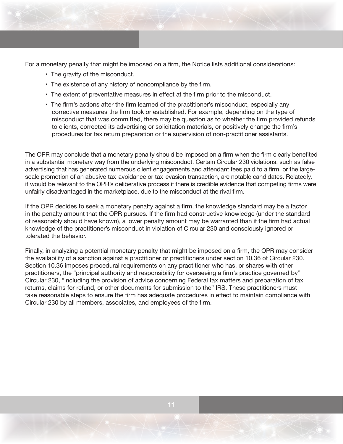For a monetary penalty that might be imposed on a firm, the Notice lists additional considerations:

- The gravity of the misconduct.
- The existence of any history of noncompliance by the firm.
- The extent of preventative measures in effect at the firm prior to the misconduct.
- The firm's actions after the firm learned of the practitioner's misconduct, especially any corrective measures the firm took or established. For example, depending on the type of misconduct that was committed, there may be question as to whether the firm provided refunds to clients, corrected its advertising or solicitation materials, or positively change the firm's procedures for tax return preparation or the supervision of non-practitioner assistants.

The OPR may conclude that a monetary penalty should be imposed on a firm when the firm clearly benefited in a substantial monetary way from the underlying misconduct. Certain Circular 230 violations, such as false advertising that has generated numerous client engagements and attendant fees paid to a firm, or the largescale promotion of an abusive tax-avoidance or tax-evasion transaction, are notable candidates. Relatedly, it would be relevant to the OPR's deliberative process if there is credible evidence that competing firms were unfairly disadvantaged in the marketplace, due to the misconduct at the rival firm.

If the OPR decides to seek a monetary penalty against a firm, the knowledge standard may be a factor in the penalty amount that the OPR pursues. If the firm had constructive knowledge (under the standard of reasonably should have known), a lower penalty amount may be warranted than if the firm had actual knowledge of the practitioner's misconduct in violation of Circular 230 and consciously ignored or tolerated the behavior.

Finally, in analyzing a potential monetary penalty that might be imposed on a firm, the OPR may consider the availability of a sanction against a practitioner or practitioners under section 10.36 of Circular 230. Section 10.36 imposes procedural requirements on any practitioner who has, or shares with other practitioners, the "principal authority and responsibility for overseeing a firm's practice governed by" Circular 230, "including the provision of advice concerning Federal tax matters and preparation of tax returns, claims for refund, or other documents for submission to the" IRS. These practitioners must take reasonable steps to ensure the firm has adequate procedures in effect to maintain compliance with Circular 230 by all members, associates, and employees of the firm.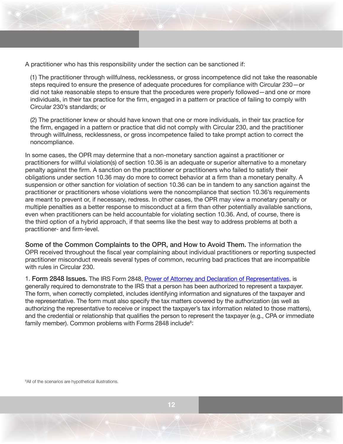A practitioner who has this responsibility under the section can be sanctioned if:

(1) The practitioner through willfulness, recklessness, or gross incompetence did not take the reasonable steps required to ensure the presence of adequate procedures for compliance with Circular 230—or did not take reasonable steps to ensure that the procedures were properly followed—and one or more individuals, in their tax practice for the firm, engaged in a pattern or practice of failing to comply with Circular 230's standards; or

(2) The practitioner knew or should have known that one or more individuals, in their tax practice for the firm, engaged in a pattern or practice that did not comply with Circular 230, and the practitioner through willfulness, recklessness, or gross incompetence failed to take prompt action to correct the noncompliance.

In some cases, the OPR may determine that a non-monetary sanction against a practitioner or practitioners for willful violation(s) of section 10.36 is an adequate or superior alternative to a monetary penalty against the firm. A sanction on the practitioner or practitioners who failed to satisfy their obligations under section 10.36 may do more to correct behavior at a firm than a monetary penalty. A suspension or other sanction for violation of section 10.36 can be in tandem to any sanction against the practitioner or practitioners whose violations were the noncompliance that section 10.36's requirements are meant to prevent or, if necessary, redress. In other cases, the OPR may view a monetary penalty or multiple penalties as a better response to misconduct at a firm than other potentially available sanctions, even when practitioners can be held accountable for violating section 10.36. And, of course, there is the third option of a hybrid approach, if that seems like the best way to address problems at both a practitioner- and firm-level.

Some of the Common Complaints to the OPR, and How to Avoid Them. The information the OPR received throughout the fiscal year complaining about individual practitioners or reporting suspected practitioner misconduct reveals several types of common, recurring bad practices that are incompatible with rules in Circular 230.

1. Form 2848 Issues. The IRS Form 2848, [Power of Attorney and Declaration of Representatives](https://www.irs.gov/pub/irs-pdf/f2848.pdf), is generally required to demonstrate to the IRS that a person has been authorized to represent a taxpayer. The form, when correctly completed, includes identifying information and signatures of the taxpayer and the representative. The form must also specify the tax matters covered by the authorization (as well as authorizing the representative to receive or inspect the taxpayer's tax information related to those matters), and the credential or relationship that qualifies the person to represent the taxpayer (e.g., CPA or immediate family member). Common problems with Forms 2848 include $^\mathrm{s}$ :

<sup>8</sup>All of the scenarios are hypothetical illustrations.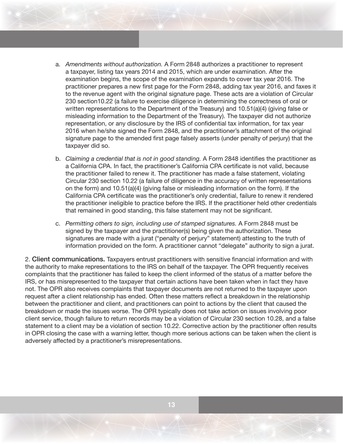- a. *Amendments without authorization.* A Form 2848 authorizes a practitioner to represent a taxpayer, listing tax years 2014 and 2015, which are under examination. After the examination begins, the scope of the examination expands to cover tax year 2016. The practitioner prepares a new first page for the Form 2848, adding tax year 2016, and faxes it to the revenue agent with the original signature page. These acts are a violation of Circular 230 section10.22 (a failure to exercise diligence in determining the correctness of oral or written representations to the Department of the Treasury) and 10.51(a)(4) (giving false or misleading information to the Department of the Treasury). The taxpayer did not authorize representation, or any disclosure by the IRS of confidential tax information, for tax year 2016 when he/she signed the Form 2848, and the practitioner's attachment of the original signature page to the amended first page falsely asserts (under penalty of perjury) that the taxpayer did so.
- b. *Claiming a credential that is not in good standing.* A Form 2848 identifies the practitioner as a California CPA. In fact, the practitioner's California CPA certificate is not valid, because the practitioner failed to renew it. The practitioner has made a false statement, violating Circular 230 section 10.22 (a failure of diligence in the accuracy of written representations on the form) and 10.51(a)(4) (giving false or misleading information on the form). If the California CPA certificate was the practitioner's only credential, failure to renew it rendered the practitioner ineligible to practice before the IRS. If the practitioner held other credentials that remained in good standing, this false statement may not be significant.
- c. *Permitting others to sign, including use of stamped signatures.* A Form 2848 must be signed by the taxpayer and the practitioner(s) being given the authorization. These signatures are made with a jurat ("penalty of perjury" statement) attesting to the truth of information provided on the form. A practitioner cannot "delegate" authority to sign a jurat.

2. Client communications. Taxpayers entrust practitioners with sensitive financial information and with the authority to make representations to the IRS on behalf of the taxpayer. The OPR frequently receives complaints that the practitioner has failed to keep the client informed of the status of a matter before the IRS, or has misrepresented to the taxpayer that certain actions have been taken when in fact they have not. The OPR also receives complaints that taxpayer documents are not returned to the taxpayer upon request after a client relationship has ended. Often these matters reflect a breakdown in the relationship between the practitioner and client, and practitioners can point to actions by the client that caused the breakdown or made the issues worse. The OPR typically does not take action on issues involving poor client service, though failure to return records may be a violation of Circular 230 section 10.28, and a false statement to a client may be a violation of section 10.22. Corrective action by the practitioner often results in OPR closing the case with a warning letter, though more serious actions can be taken when the client is adversely affected by a practitioner's misrepresentations.

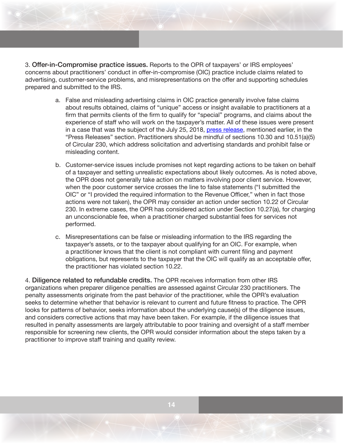3. Offer-in-Compromise practice issues. Reports to the OPR of taxpayers' or IRS employees' concerns about practitioners' conduct in offer-in-compromise (OIC) practice include claims related to advertising, customer-service problems, and misrepresentations on the offer and supporting schedules prepared and submitted to the IRS.

- a. False and misleading advertising claims in OIC practice generally involve false claims about results obtained, claims of "unique" access or insight available to practitioners at a firm that permits clients of the firm to qualify for "special" programs, and claims about the experience of staff who will work on the taxpayer's matter. All of these issues were present in a case that was the subject of the July 25, 2018, [press release](https://www.irs.gov/newsroom/irs-imposes-monetary-penalty-and-probationary-period-on-tax-practitioner-and-his-debt-relief-firm-for-engaging-in-false-and-misleading-advertising), mentioned earlier, in the "Press Releases" section. Practitioners should be mindful of sections 10.30 and 10.51(a)(5) of Circular 230, which address solicitation and advertising standards and prohibit false or misleading content.
- b. Customer-service issues include promises not kept regarding actions to be taken on behalf of a taxpayer and setting unrealistic expectations about likely outcomes. As is noted above, the OPR does not generally take action on matters involving poor client service. However, when the poor customer service crosses the line to false statements ("I submitted the OIC" or "I provided the required information to the Revenue Officer," when in fact those actions were not taken), the OPR may consider an action under section 10.22 of Circular 230. In extreme cases, the OPR has considered action under Section 10.27(a), for charging an unconscionable fee, when a practitioner charged substantial fees for services not performed.
- c. Misrepresentations can be false or misleading information to the IRS regarding the taxpayer's assets, or to the taxpayer about qualifying for an OIC. For example, when a practitioner knows that the client is not compliant with current filing and payment obligations, but represents to the taxpayer that the OIC will qualify as an acceptable offer, the practitioner has violated section 10.22.

4. Diligence related to refundable credits. The OPR receives information from other IRS organizations when preparer diligence penalties are assessed against Circular 230 practitioners. The penalty assessments originate from the past behavior of the practitioner, while the OPR's evaluation seeks to determine whether that behavior is relevant to current and future fitness to practice. The OPR looks for patterns of behavior, seeks information about the underlying cause(s) of the diligence issues, and considers corrective actions that may have been taken. For example, if the diligence issues that resulted in penalty assessments are largely attributable to poor training and oversight of a staff member responsible for screening new clients, the OPR would consider information about the steps taken by a practitioner to improve staff training and quality review.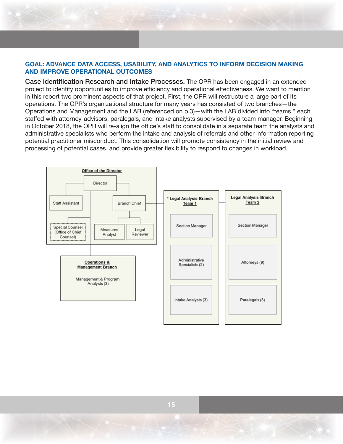## **GOAL: ADVANCE DATA ACCESS, USABILITY, AND ANALYTICS TO INFORM DECISION MAKING AND IMPROVE OPERATIONAL OUTCOMES**

Case Identification Research and Intake Processes. The OPR has been engaged in an extended project to identify opportunities to improve efficiency and operational effectiveness. We want to mention in this report two prominent aspects of that project. First, the OPR will restructure a large part of its operations. The OPR's organizational structure for many years has consisted of two branches—the Operations and Management and the LAB (referenced on p.3)—with the LAB divided into "teams," each staffed with attorney-advisors, paralegals, and intake analysts supervised by a team manager. Beginning in October 2018, the OPR will re-align the office's staff to consolidate in a separate team the analysts and administrative specialists who perform the intake and analysis of referrals and other information reporting potential practitioner misconduct. This consolidation will promote consistency in the initial review and processing of potential cases, and provide greater flexibility to respond to changes in workload.

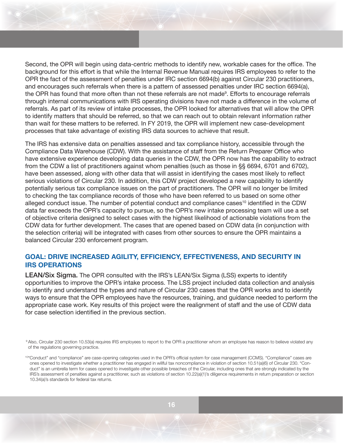Second, the OPR will begin using data-centric methods to identify new, workable cases for the office. The background for this effort is that while the Internal Revenue Manual requires IRS employees to refer to the OPR the fact of the assessment of penalties under IRC section 6694(b) against Circular 230 practitioners, and encourages such referrals when there is a pattern of assessed penalties under IRC section 6694(a), the OPR has found that more often than not these referrals are not made<sup>s</sup>. Efforts to encourage referrals through internal communications with IRS operating divisions have not made a difference in the volume of referrals. As part of its review of intake processes, the OPR looked for alternatives that will allow the OPR to identify matters that should be referred, so that we can reach out to obtain relevant information rather than wait for these matters to be referred. In FY 2019, the OPR will implement new case-development processes that take advantage of existing IRS data sources to achieve that result.

The IRS has extensive data on penalties assessed and tax compliance history, accessible through the Compliance Data Warehouse (CDW). With the assistance of staff from the Return Preparer Office who have extensive experience developing data queries in the CDW, the OPR now has the capability to extract from the CDW a list of practitioners against whom penalties (such as those in §§ 6694, 6701 and 6702), have been assessed, along with other data that will assist in identifying the cases most likely to reflect serious violations of Circular 230. In addition, this CDW project developed a new capability to identify potentially serious tax compliance issues on the part of practitioners. The OPR will no longer be limited to checking the tax compliance records of those who have been referred to us based on some other alleged conduct issue. The number of potential conduct and compliance cases<sup>10</sup> identified in the CDW data far exceeds the OPR's capacity to pursue, so the OPR's new intake processing team will use a set of objective criteria designed to select cases with the highest likelihood of actionable violations from the CDW data for further development. The cases that are opened based on CDW data (in conjunction with the selection criteria) will be integrated with cases from other sources to ensure the OPR maintains a balanced Circular 230 enforcement program.

# **GOAL: DRIVE INCREASED AGILITY, EFFICIENCY, EFFECTIVENESS, AND SECURITY IN IRS OPERATIONS**

LEAN/Six Sigma. The OPR consulted with the IRS's LEAN/Six Sigma (LSS) experts to identify opportunities to improve the OPR's intake process. The LSS project included data collection and analysis to identify and understand the types and nature of Circular 230 cases that the OPR works and to identify ways to ensure that the OPR employees have the resources, training, and guidance needed to perform the appropriate case work. Key results of this project were the realignment of staff and the use of CDW data for case selection identified in the previous section.

9 Also, Circular 230 section 10.53(a) requires IRS employees to report to the OPR a practitioner whom an employee has reason to believe violated any of the regulations governing practice.

10"Conduct" and "compliance" are case-opening categories used in the OPR's official system for case management (CCMS). "Compliance" cases are ones opened to investigate whether a practitioner has engaged in willful tax noncompliance in violation of section 10.51(a)(6) of Circular 230. "Conduct" is an umbrella term for cases opened to investigate other possible breaches of the Circular, including ones that are strongly indicated by the IRS's assessment of penalties against a practitioner, such as violations of section 10.22(a)(1)'s diligence requirements in return preparation or section 10.34(a)'s standards for federal tax returns.

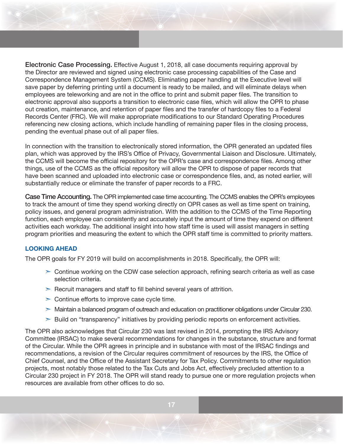Electronic Case Processing. Effective August 1, 2018, all case documents requiring approval by the Director are reviewed and signed using electronic case processing capabilities of the Case and Correspondence Management System (CCMS). Eliminating paper handling at the Executive level will save paper by deferring printing until a document is ready to be mailed, and will eliminate delays when employees are teleworking and are not in the office to print and submit paper files. The transition to electronic approval also supports a transition to electronic case files, which will allow the OPR to phase out creation, maintenance, and retention of paper files and the transfer of hardcopy files to a Federal Records Center (FRC). We will make appropriate modifications to our Standard Operating Procedures referencing new closing actions, which include handling of remaining paper files in the closing process, pending the eventual phase out of all paper files.

In connection with the transition to electronically stored information, the OPR generated an updated files plan, which was approved by the IRS's Office of Privacy, Governmental Liaison and Disclosure. Ultimately, the CCMS will become the official repository for the OPR's case and correspondence files. Among other things, use of the CCMS as the official repository will allow the OPR to dispose of paper records that have been scanned and uploaded into electronic case or correspondence files, and, as noted earlier, will substantially reduce or eliminate the transfer of paper records to a FRC.

Case Time Accounting. The OPR implemented case time accounting. The CCMS enables the OPR's employees to track the amount of time they spend working directly on OPR cases as well as time spent on training, policy issues, and general program administration. With the addition to the CCMS of the Time Reporting function, each employee can consistently and accurately input the amount of time they expend on different activities each workday. The additional insight into how staff time is used will assist managers in setting program priorities and measuring the extent to which the OPR staff time is committed to priority matters.

## **LOOKING AHEAD**

The OPR goals for FY 2019 will build on accomplishments in 2018. Specifically, the OPR will:

- $\geq$  Continue working on the CDW case selection approach, refining search criteria as well as case selection criteria.
- $\geq$  Recruit managers and staff to fill behind several years of attrition.
- $\geq$  Continue efforts to improve case cycle time.
- $>$  Maintain a balanced program of outreach and education on practitioner obligations under Circular 230.
- $\geq$  Build on "transparency" initiatives by providing periodic reports on enforcement activities.

The OPR also acknowledges that Circular 230 was last revised in 2014, prompting the IRS Advisory Committee (IRSAC) to make several recommendations for changes in the substance, structure and format of the Circular. While the OPR agrees in principle and in substance with most of the IRSAC findings and recommendations, a revision of the Circular requires commitment of resources by the IRS, the Office of Chief Counsel, and the Office of the Assistant Secretary for Tax Policy. Commitments to other regulation projects, most notably those related to the Tax Cuts and Jobs Act, effectively precluded attention to a Circular 230 project in FY 2018. The OPR will stand ready to pursue one or more regulation projects when resources are available from other offices to do so.